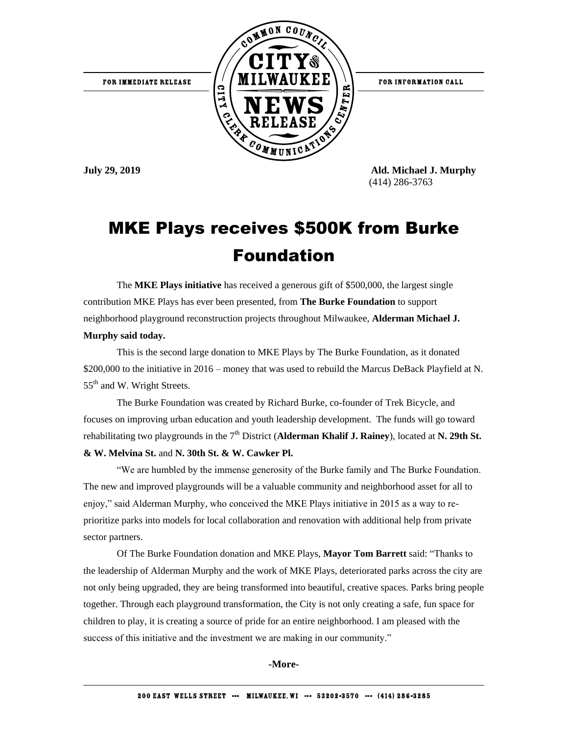

FOR INFORMATION CALL

**July 29, 2019 Ald. Michael J. Murphy** (414) 286-3763

## MKE Plays receives \$500K from Burke Foundation

The **MKE Plays initiative** has received a generous gift of \$500,000, the largest single contribution MKE Plays has ever been presented, from **The Burke Foundation** to support neighborhood playground reconstruction projects throughout Milwaukee, **Alderman Michael J. Murphy said today.**

This is the second large donation to MKE Plays by The Burke Foundation, as it donated \$200,000 to the initiative in 2016 – money that was used to rebuild the Marcus DeBack Playfield at N. 55<sup>th</sup> and W. Wright Streets.

The Burke Foundation was created by Richard Burke, co-founder of Trek Bicycle, and focuses on improving urban education and youth leadership development. The funds will go toward rehabilitating two playgrounds in the 7<sup>th</sup> District (**Alderman Khalif J. Rainey**), located at **N. 29th St. & W. Melvina St.** and **N. 30th St. & W. Cawker Pl.**

"We are humbled by the immense generosity of the Burke family and The Burke Foundation. The new and improved playgrounds will be a valuable community and neighborhood asset for all to enjoy," said Alderman Murphy, who conceived the MKE Plays initiative in 2015 as a way to reprioritize parks into models for local collaboration and renovation with additional help from private sector partners.

Of The Burke Foundation donation and MKE Plays, **Mayor Tom Barrett** said: "Thanks to the leadership of Alderman Murphy and the work of MKE Plays, deteriorated parks across the city are not only being upgraded, they are being transformed into beautiful, creative spaces. Parks bring people together. Through each playground transformation, the City is not only creating a safe, fun space for children to play, it is creating a source of pride for an entire neighborhood. I am pleased with the success of this initiative and the investment we are making in our community."

**-More-**